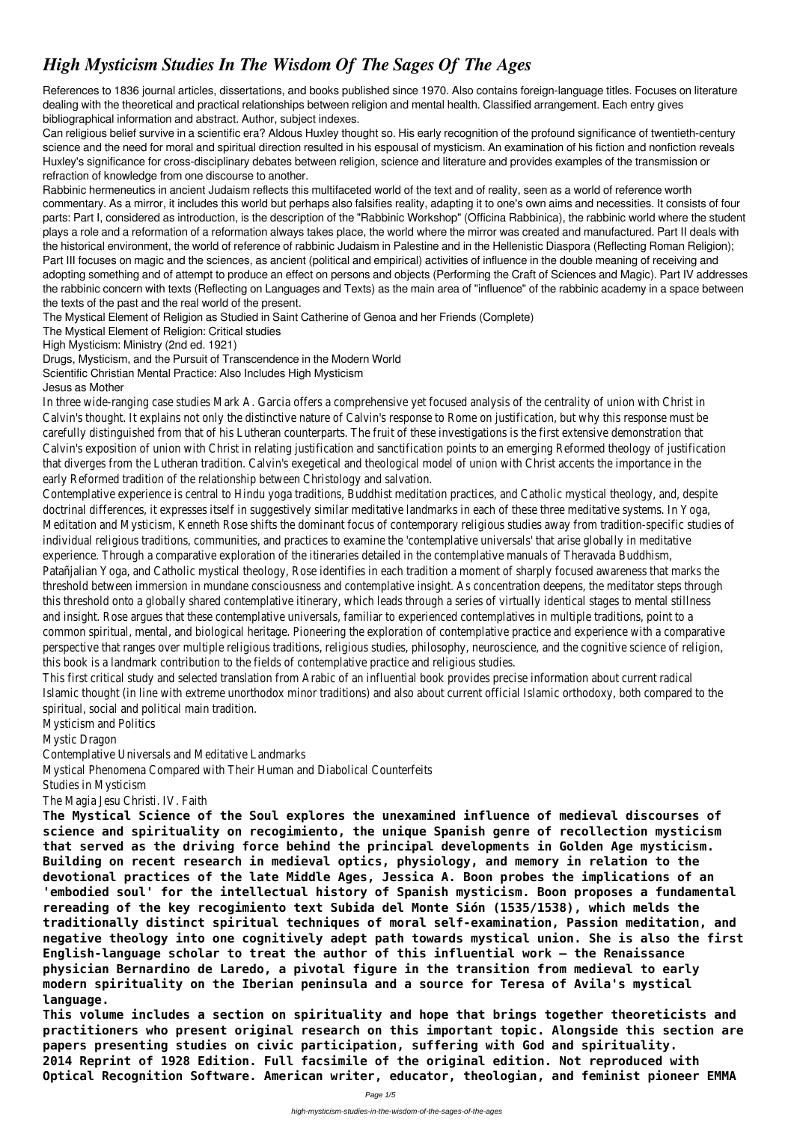## *High Mysticism Studies In The Wisdom Of The Sages Of The Ages*

References to 1836 journal articles, dissertations, and books published since 1970. Also contains foreign-language titles. Focuses on literature dealing with the theoretical and practical relationships between religion and mental health. Classified arrangement. Each entry gives bibliographical information and abstract. Author, subject indexes.

Can religious belief survive in a scientific era? Aldous Huxley thought so. His early recognition of the profound significance of twentieth-century science and the need for moral and spiritual direction resulted in his espousal of mysticism. An examination of his fiction and nonfiction reveals Huxley's significance for cross-disciplinary debates between religion, science and literature and provides examples of the transmission or refraction of knowledge from one discourse to another.

Rabbinic hermeneutics in ancient Judaism reflects this multifaceted world of the text and of reality, seen as a world of reference worth commentary. As a mirror, it includes this world but perhaps also falsifies reality, adapting it to one's own aims and necessities. It consists of four parts: Part I, considered as introduction, is the description of the "Rabbinic Workshop" (Officina Rabbinica), the rabbinic world where the student plays a role and a reformation of a reformation always takes place, the world where the mirror was created and manufactured. Part II deals with the historical environment, the world of reference of rabbinic Judaism in Palestine and in the Hellenistic Diaspora (Reflecting Roman Religion); Part III focuses on magic and the sciences, as ancient (political and empirical) activities of influence in the double meaning of receiving and adopting something and of attempt to produce an effect on persons and objects (Performing the Craft of Sciences and Magic). Part IV addresses the rabbinic concern with texts (Reflecting on Languages and Texts) as the main area of "influence" of the rabbinic academy in a space between the texts of the past and the real world of the present.

The Mystical Element of Religion as Studied in Saint Catherine of Genoa and her Friends (Complete)

The Mystical Element of Religion: Critical studies

High Mysticism: Ministry (2nd ed. 1921)

Drugs, Mysticism, and the Pursuit of Transcendence in the Modern World

Scientific Christian Mental Practice: Also Includes High Mysticism

Jesus as Mother

In three wide-ranging case studies Mark A. Garcia offers a comprehensive yet focused analysis of the centrality of union with Ch Calvin's thought. It explains not only the distinctive nature of Calvin's response to Rome on justification, but why this response m carefully distinguished from that of his Lutheran counterparts. The fruit of these investigations is the first extensive demonstration Calvin's exposition of union with Christ in relating justification and sanctification points to an emerging Reformed theology of justification that diverges from the Lutheran tradition. Calvin's exegetical and theological model of union with Christ accents the importance early Reformed tradition of the relationship between Christology and salvated

Contemplative experience is central to Hindu yoga traditions, Buddhist meditation practices, and Catholic mystical theology, and, d doctrinal differences, it expresses itself in suggestively similar meditative landmarks in each of these three meditative systems. In Meditation and Mysticism, Kenneth Rose shifts the dominant focus of contemporary religious studies away from tradition-specific stu individual religious traditions, communities, and practices to examine the 'contemplative universals' that arise globally in medit experience. Through a comparative exploration of the itineraries detailed in the contemplative manuals of Theravada Budd Patañjalian Yoga, and Catholic mystical theology, Rose identifies in each tradition a moment of sharply focused awareness that marl threshold between immersion in mundane consciousness and contemplative insight. As concentration deepens, the meditator steps the this threshold onto a globally shared contemplative itinerary, which leads through a series of virtually identical stages to mental st and insight. Rose argues that these contemplative universals, familiar to experienced contemplatives in multiple traditions, poin common spiritual, mental, and biological heritage. Pioneering the exploration of contemplative practice and experience with a comparative perspective that ranges over multiple religious traditions, religious studies, philosophy, neuroscience, and the cognitive science of re this book is a landmark contribution to the fields of contemplative practice and religious stu

This first critical study and selected translation from Arabic of an influential book provides precise information about current in Islamic thought (in line with extreme unorthodox minor traditions) and also about current official Islamic orthodoxy, both compared spiritual, social and political main tradition

Mysticism and Politics Mystic Dragor Contemplative Universals and Meditative Landmarks

Mystical Phenomena Compared with Their Human and Diabolical Counterferent

Studies in Mysticism

The Magia Jesu Christi. IV. Fait

**The Mystical Science of the Soul explores the unexamined influence of medieval discourses of science and spirituality on recogimiento, the unique Spanish genre of recollection mysticism that served as the driving force behind the principal developments in Golden Age mysticism. Building on recent research in medieval optics, physiology, and memory in relation to the devotional practices of the late Middle Ages, Jessica A. Boon probes the implications of an 'embodied soul' for the intellectual history of Spanish mysticism. Boon proposes a fundamental rereading of the key recogimiento text Subida del Monte Sión (1535/1538), which melds the traditionally distinct spiritual techniques of moral self-examination, Passion meditation, and negative theology into one cognitively adept path towards mystical union. She is also the first English-language scholar to treat the author of this influential work – the Renaissance physician Bernardino de Laredo, a pivotal figure in the transition from medieval to early modern spirituality on the Iberian peninsula and a source for Teresa of Avila's mystical language. This volume includes a section on spirituality and hope that brings together theoreticists and practitioners who present original research on this important topic. Alongside this section are papers presenting studies on civic participation, suffering with God and spirituality. 2014 Reprint of 1928 Edition. Full facsimile of the original edition. Not reproduced with Optical Recognition Software. American writer, educator, theologian, and feminist pioneer EMMA**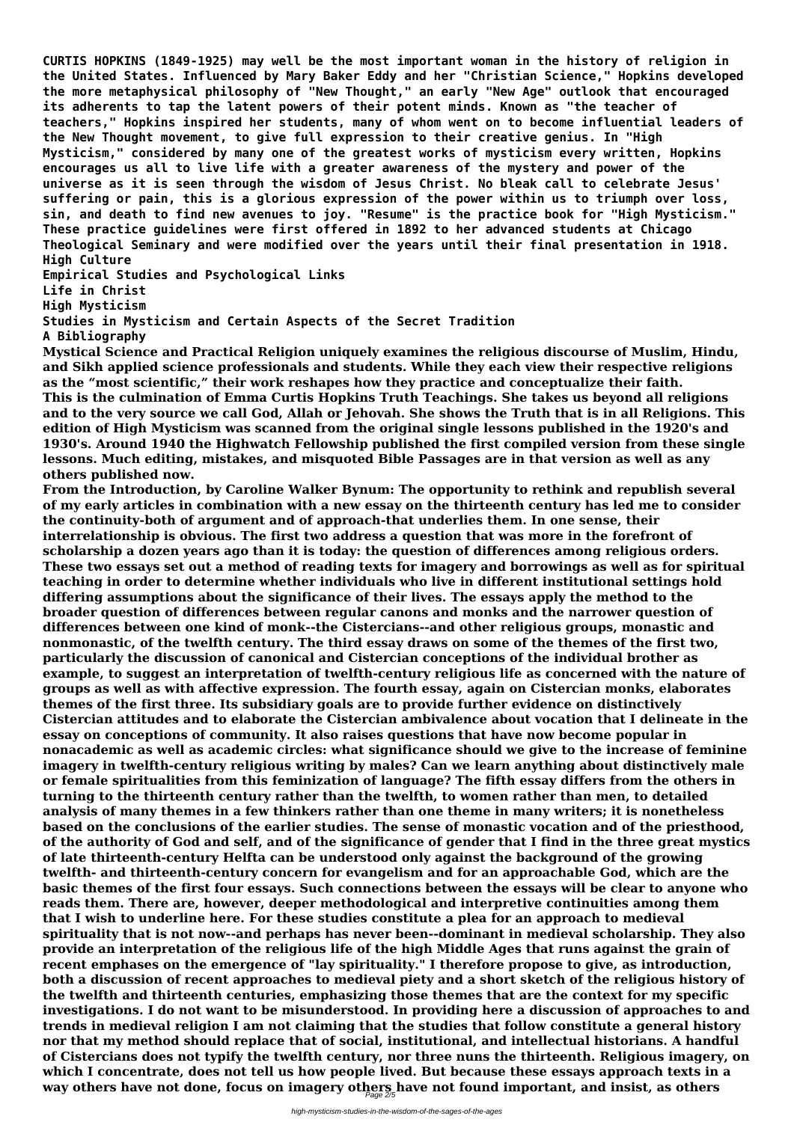**CURTIS HOPKINS (1849-1925) may well be the most important woman in the history of religion in the United States. Influenced by Mary Baker Eddy and her "Christian Science," Hopkins developed the more metaphysical philosophy of "New Thought," an early "New Age" outlook that encouraged its adherents to tap the latent powers of their potent minds. Known as "the teacher of teachers," Hopkins inspired her students, many of whom went on to become influential leaders of the New Thought movement, to give full expression to their creative genius. In "High Mysticism," considered by many one of the greatest works of mysticism every written, Hopkins encourages us all to live life with a greater awareness of the mystery and power of the universe as it is seen through the wisdom of Jesus Christ. No bleak call to celebrate Jesus' suffering or pain, this is a glorious expression of the power within us to triumph over loss, sin, and death to find new avenues to joy. "Resume" is the practice book for "High Mysticism." These practice guidelines were first offered in 1892 to her advanced students at Chicago Theological Seminary and were modified over the years until their final presentation in 1918. High Culture**

**Empirical Studies and Psychological Links**

**Life in Christ**

**High Mysticism**

**Studies in Mysticism and Certain Aspects of the Secret Tradition**

**A Bibliography**

**Mystical Science and Practical Religion uniquely examines the religious discourse of Muslim, Hindu, and Sikh applied science professionals and students. While they each view their respective religions as the "most scientific," their work reshapes how they practice and conceptualize their faith. This is the culmination of Emma Curtis Hopkins Truth Teachings. She takes us beyond all religions and to the very source we call God, Allah or Jehovah. She shows the Truth that is in all Religions. This edition of High Mysticism was scanned from the original single lessons published in the 1920's and 1930's. Around 1940 the Highwatch Fellowship published the first compiled version from these single lessons. Much editing, mistakes, and misquoted Bible Passages are in that version as well as any others published now.**

**From the Introduction, by Caroline Walker Bynum: The opportunity to rethink and republish several of my early articles in combination with a new essay on the thirteenth century has led me to consider the continuity-both of argument and of approach-that underlies them. In one sense, their interrelationship is obvious. The first two address a question that was more in the forefront of scholarship a dozen years ago than it is today: the question of differences among religious orders. These two essays set out a method of reading texts for imagery and borrowings as well as for spiritual teaching in order to determine whether individuals who live in different institutional settings hold differing assumptions about the significance of their lives. The essays apply the method to the broader question of differences between regular canons and monks and the narrower question of differences between one kind of monk--the Cistercians--and other religious groups, monastic and nonmonastic, of the twelfth century. The third essay draws on some of the themes of the first two, particularly the discussion of canonical and Cistercian conceptions of the individual brother as example, to suggest an interpretation of twelfth-century religious life as concerned with the nature of groups as well as with affective expression. The fourth essay, again on Cistercian monks, elaborates themes of the first three. Its subsidiary goals are to provide further evidence on distinctively Cistercian attitudes and to elaborate the Cistercian ambivalence about vocation that I delineate in the essay on conceptions of community. It also raises questions that have now become popular in nonacademic as well as academic circles: what significance should we give to the increase of feminine imagery in twelfth-century religious writing by males? Can we learn anything about distinctively male or female spiritualities from this feminization of language? The fifth essay differs from the others in turning to the thirteenth century rather than the twelfth, to women rather than men, to detailed analysis of many themes in a few thinkers rather than one theme in many writers; it is nonetheless based on the conclusions of the earlier studies. The sense of monastic vocation and of the priesthood, of the authority of God and self, and of the significance of gender that I find in the three great mystics of late thirteenth-century Helfta can be understood only against the background of the growing twelfth- and thirteenth-century concern for evangelism and for an approachable God, which are the basic themes of the first four essays. Such connections between the essays will be clear to anyone who reads them. There are, however, deeper methodological and interpretive continuities among them that I wish to underline here. For these studies constitute a plea for an approach to medieval spirituality that is not now--and perhaps has never been--dominant in medieval scholarship. They also provide an interpretation of the religious life of the high Middle Ages that runs against the grain of recent emphases on the emergence of "lay spirituality." I therefore propose to give, as introduction, both a discussion of recent approaches to medieval piety and a short sketch of the religious history of the twelfth and thirteenth centuries, emphasizing those themes that are the context for my specific investigations. I do not want to be misunderstood. In providing here a discussion of approaches to and trends in medieval religion I am not claiming that the studies that follow constitute a general history nor that my method should replace that of social, institutional, and intellectual historians. A handful of Cistercians does not typify the twelfth century, nor three nuns the thirteenth. Religious imagery, on which I concentrate, does not tell us how people lived. But because these essays approach texts in a way others have not done, focus on imagery others have not found important, and insist, as others** Page 2/5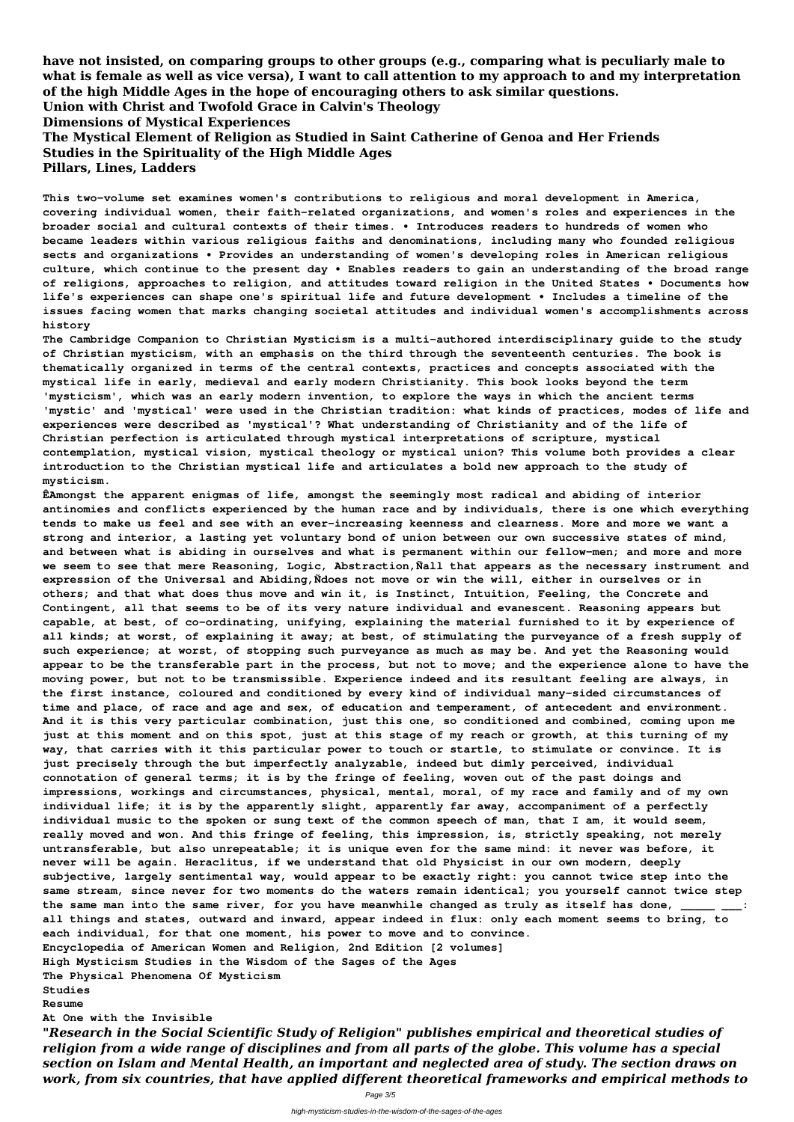**have not insisted, on comparing groups to other groups (e.g., comparing what is peculiarly male to what is female as well as vice versa), I want to call attention to my approach to and my interpretation of the high Middle Ages in the hope of encouraging others to ask similar questions. Union with Christ and Twofold Grace in Calvin's Theology Dimensions of Mystical Experiences The Mystical Element of Religion as Studied in Saint Catherine of Genoa and Her Friends Studies in the Spirituality of the High Middle Ages Pillars, Lines, Ladders**

**This two-volume set examines women's contributions to religious and moral development in America, covering individual women, their faith-related organizations, and women's roles and experiences in the broader social and cultural contexts of their times. • Introduces readers to hundreds of women who became leaders within various religious faiths and denominations, including many who founded religious sects and organizations • Provides an understanding of women's developing roles in American religious culture, which continue to the present day • Enables readers to gain an understanding of the broad range of religions, approaches to religion, and attitudes toward religion in the United States • Documents how life's experiences can shape one's spiritual life and future development • Includes a timeline of the issues facing women that marks changing societal attitudes and individual women's accomplishments across history**

**The Cambridge Companion to Christian Mysticism is a multi-authored interdisciplinary guide to the study of Christian mysticism, with an emphasis on the third through the seventeenth centuries. The book is thematically organized in terms of the central contexts, practices and concepts associated with the mystical life in early, medieval and early modern Christianity. This book looks beyond the term 'mysticism', which was an early modern invention, to explore the ways in which the ancient terms 'mystic' and 'mystical' were used in the Christian tradition: what kinds of practices, modes of life and experiences were described as 'mystical'? What understanding of Christianity and of the life of Christian perfection is articulated through mystical interpretations of scripture, mystical contemplation, mystical vision, mystical theology or mystical union? This volume both provides a clear introduction to the Christian mystical life and articulates a bold new approach to the study of mysticism.**

**ÊAmongst the apparent enigmas of life, amongst the seemingly most radical and abiding of interior antinomies and conflicts experienced by the human race and by individuals, there is one which everything tends to make us feel and see with an ever-increasing keenness and clearness. More and more we want a strong and interior, a lasting yet voluntary bond of union between our own successive states of mind, and between what is abiding in ourselves and what is permanent within our fellow-men; and more and more we seem to see that mere Reasoning, Logic, Abstraction,Ñall that appears as the necessary instrument and expression of the Universal and Abiding,Ñdoes not move or win the will, either in ourselves or in others; and that what does thus move and win it, is Instinct, Intuition, Feeling, the Concrete and Contingent, all that seems to be of its very nature individual and evanescent. Reasoning appears but capable, at best, of co-ordinating, unifying, explaining the material furnished to it by experience of all kinds; at worst, of explaining it away; at best, of stimulating the purveyance of a fresh supply of such experience; at worst, of stopping such purveyance as much as may be. And yet the Reasoning would appear to be the transferable part in the process, but not to move; and the experience alone to have the moving power, but not to be transmissible. Experience indeed and its resultant feeling are always, in the first instance, coloured and conditioned by every kind of individual many-sided circumstances of time and place, of race and age and sex, of education and temperament, of antecedent and environment. And it is this very particular combination, just this one, so conditioned and combined, coming upon me just at this moment and on this spot, just at this stage of my reach or growth, at this turning of my way, that carries with it this particular power to touch or startle, to stimulate or convince. It is just precisely through the but imperfectly analyzable, indeed but dimly perceived, individual connotation of general terms; it is by the fringe of feeling, woven out of the past doings and impressions, workings and circumstances, physical, mental, moral, of my race and family and of my own individual life; it is by the apparently slight, apparently far away, accompaniment of a perfectly individual music to the spoken or sung text of the common speech of man, that I am, it would seem, really moved and won. And this fringe of feeling, this impression, is, strictly speaking, not merely untransferable, but also unrepeatable; it is unique even for the same mind: it never was before, it never will be again. Heraclitus, if we understand that old Physicist in our own modern, deeply subjective, largely sentimental way, would appear to be exactly right: you cannot twice step into the same stream, since never for two moments do the waters remain identical; you yourself cannot twice step** the same man into the same river, for you have meanwhile changed as truly as itself has done, \_\_\_\_\_ \_\_\_: **all things and states, outward and inward, appear indeed in flux: only each moment seems to bring, to each individual, for that one moment, his power to move and to convince. Encyclopedia of American Women and Religion, 2nd Edition [2 volumes] High Mysticism Studies in the Wisdom of the Sages of the Ages The Physical Phenomena Of Mysticism Studies Resume At One with the Invisible** *"Research in the Social Scientific Study of Religion" publishes empirical and theoretical studies of religion from a wide range of disciplines and from all parts of the globe. This volume has a special section on Islam and Mental Health, an important and neglected area of study. The section draws on work, from six countries, that have applied different theoretical frameworks and empirical methods to*

Page 3/5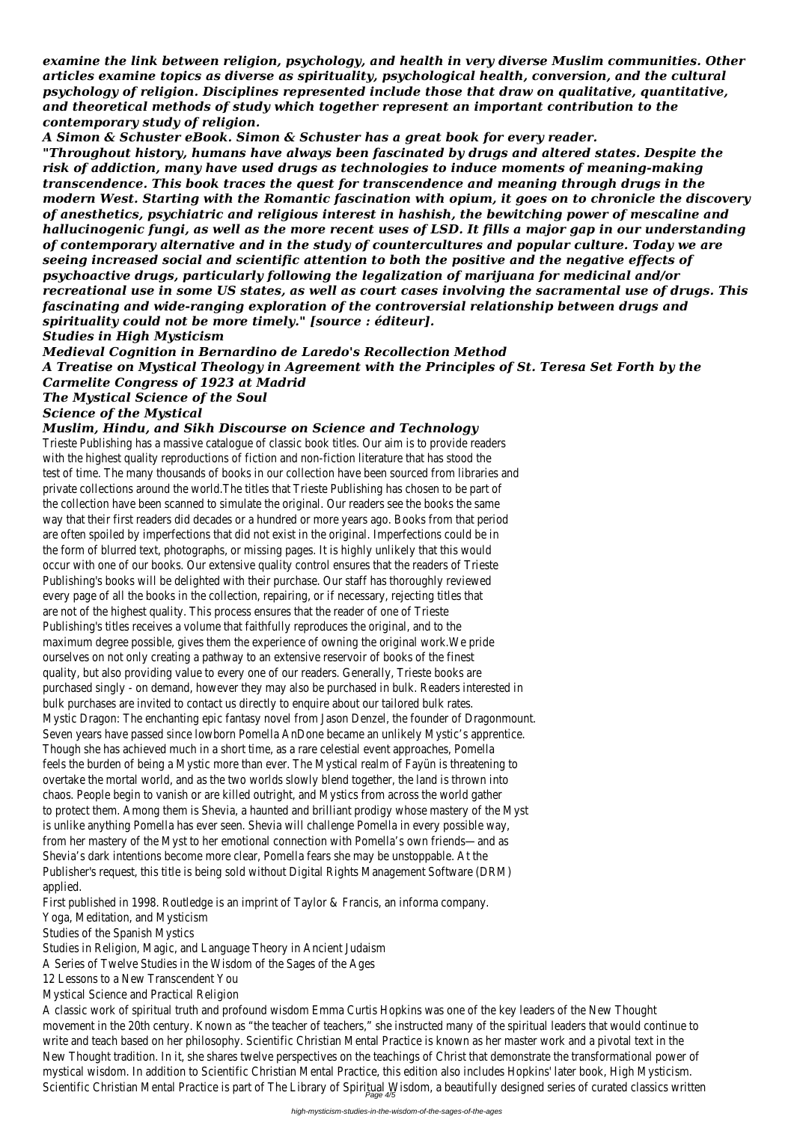*examine the link between religion, psychology, and health in very diverse Muslim communities. Other articles examine topics as diverse as spirituality, psychological health, conversion, and the cultural psychology of religion. Disciplines represented include those that draw on qualitative, quantitative, and theoretical methods of study which together represent an important contribution to the contemporary study of religion.*

*A Simon & Schuster eBook. Simon & Schuster has a great book for every reader. "Throughout history, humans have always been fascinated by drugs and altered states. Despite the risk of addiction, many have used drugs as technologies to induce moments of meaning-making transcendence. This book traces the quest for transcendence and meaning through drugs in the modern West. Starting with the Romantic fascination with opium, it goes on to chronicle the discovery of anesthetics, psychiatric and religious interest in hashish, the bewitching power of mescaline and hallucinogenic fungi, as well as the more recent uses of LSD. It fills a major gap in our understanding of contemporary alternative and in the study of countercultures and popular culture. Today we are seeing increased social and scientific attention to both the positive and the negative effects of psychoactive drugs, particularly following the legalization of marijuana for medicinal and/or recreational use in some US states, as well as court cases involving the sacramental use of drugs. This fascinating and wide-ranging exploration of the controversial relationship between drugs and spirituality could not be more timely." [source : éditeur].*

*Studies in High Mysticism*

*Medieval Cognition in Bernardino de Laredo's Recollection Method*

*A Treatise on Mystical Theology in Agreement with the Principles of St. Teresa Set Forth by the Carmelite Congress of 1923 at Madrid*

*The Mystical Science of the Soul*

*Science of the Mystical*

## *Muslim, Hindu, and Sikh Discourse on Science and Technology*

Trieste Publishing has a massive catalogue of classic book titles. Our aim is to provide re with the highest quality reproductions of fiction and non-fiction literature that has sto test of time. The many thousands of books in our collection have been sourced from librari private collections around the world. The titles that Trieste Publishing has chosen to be part of the part of the world. The titles that Trieste Publishing has chosen to be part of the part of the part of the part of the p the collection have been scanned to simulate the original. Our readers see the books the way that their first readers did decades or a hundred or more years ago. Books from that are often spoiled by imperfections that did not exist in the original. Imperfections could the form of blurred text, photographs, or missing pages. It is highly unlikely that this occur with one of our books. Our extensive quality control ensures that the readers of T Publishing's books will be delighted with their purchase. Our staff has thoroughly rev every page of all the books in the collection, repairing, or if necessary, rejecting title are not of the highest quality. This process ensures that the reader of one of T Publishing's titles receives a volume that faithfully reproduces the original, and to maximum degree possible, gives them the experience of owning the original work. We ourselves on not only creating a pathway to an extensive reservoir of books of the quality, but also providing value to every one of our readers. Generally, Trieste book purchased singly - on demand, however they may also be purchased in bulk. Readers interest bulk purchases are invited to contact us directly to enquire about our tailored bulk Mystic Dragon: The enchanting epic fantasy novel from Jason Denzel, the founder of Dragoni Seven years have passed since lowborn Pomella AnDone became an unlikely Mystic's appre Though she has achieved much in a short time, as a rare celestial event approaches, Pomella feels the burden of being a Mystic more than ever. The Mystical realm of Fayun is threater overtake the mortal world, and as the two worlds slowly blend together, the land is throw chaos. People begin to vanish or are killed outright, and Mystics from across the world to protect them. Among them is Shevia, a haunted and brilliant prodigy whose mastery of the is unlike anything Pomella has ever seen. Shevia will challenge Pomella in every possible from her mastery of the Myst to her emotional connection with Pomella's own friends-

Shevia's dark intentions become more clear, Pomella fears she may be unstoppable. Publisher's request, this title is being sold without Digital Rights Management Software applied.

First published in 1998. Routledge is an imprint of Taylor & Francis, an informa con

Yoga, Meditation, and Mysticis

Studies of the Spanish Mystic

Studies in Religion, Magic, and Language Theory in Ancient Juda

A Series of Twelve Studies in the Wisdom of the Sages of the Ages

12 Lessons to a New Transcendent Y

Mystical Science and Practical Religion

A classic work of spiritual truth and profound wisdom Emma Curtis Hopkins was one of the key leaders of the New movement in the 20th century. Known as "the teacher of teachers," she instructed many of the spiritual leaders that would continue to write and teach based on her philosophy. Scientific Christian Mental Practice is known as her master work and a pivotal te New Thought tradition. In it, she shares twelve perspectives on the teachings of Christ that demonstrate the transformational mystical wisdom. In addition to Scientific Christian Mental Practice, this edition also includes Hopkins' later book, High M Scientific Christian Mental Practice is part of The Library of Spiritual Wisdom, a beautifully designed series of curated classic<br>'''